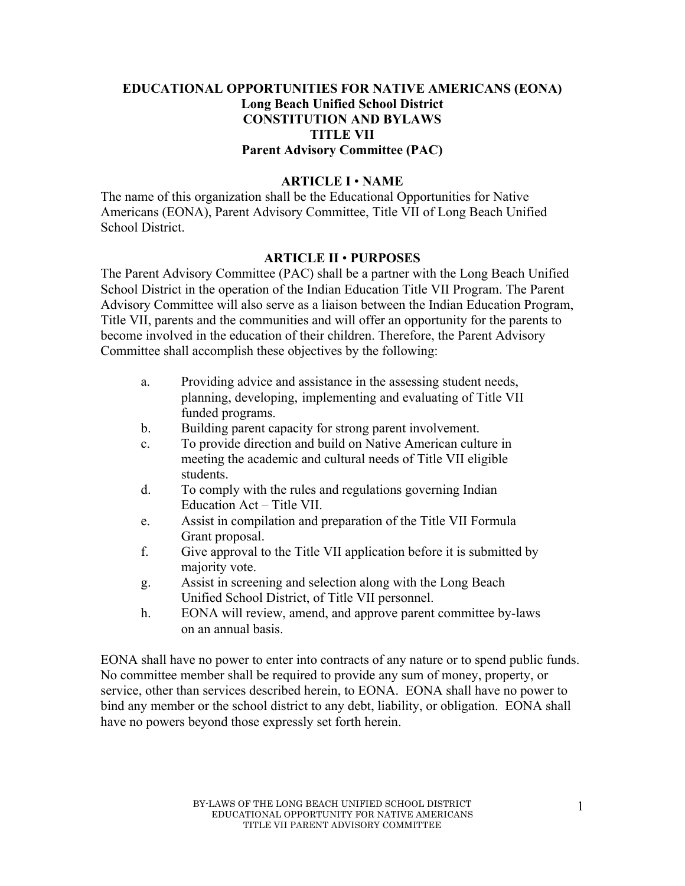## **EDUCATIONAL OPPORTUNITIES FOR NATIVE AMERICANS (EONA) Long Beach Unified School District CONSTITUTION AND BYLAWS TITLE VII Parent Advisory Committee (PAC)**

#### **ARTICLE I** • **NAME**

The name of this organization shall be the Educational Opportunities for Native Americans (EONA), Parent Advisory Committee, Title VII of Long Beach Unified School District.

## **ARTICLE II** • **PURPOSES**

The Parent Advisory Committee (PAC) shall be a partner with the Long Beach Unified School District in the operation of the Indian Education Title VII Program. The Parent Advisory Committee will also serve as a liaison between the Indian Education Program, Title VII, parents and the communities and will offer an opportunity for the parents to become involved in the education of their children. Therefore, the Parent Advisory Committee shall accomplish these objectives by the following:

- a. Providing advice and assistance in the assessing student needs, planning, developing, implementing and evaluating of Title VII funded programs.
- b. Building parent capacity for strong parent involvement.
- c. To provide direction and build on Native American culture in meeting the academic and cultural needs of Title VII eligible students.
- d. To comply with the rules and regulations governing Indian Education Act – Title VII.
- e. Assist in compilation and preparation of the Title VII Formula Grant proposal.
- f. Give approval to the Title VII application before it is submitted by majority vote.
- g. Assist in screening and selection along with the Long Beach Unified School District, of Title VII personnel.
- h. EONA will review, amend, and approve parent committee by-laws on an annual basis.

EONA shall have no power to enter into contracts of any nature or to spend public funds. No committee member shall be required to provide any sum of money, property, or service, other than services described herein, to EONA. EONA shall have no power to bind any member or the school district to any debt, liability, or obligation. EONA shall have no powers beyond those expressly set forth herein.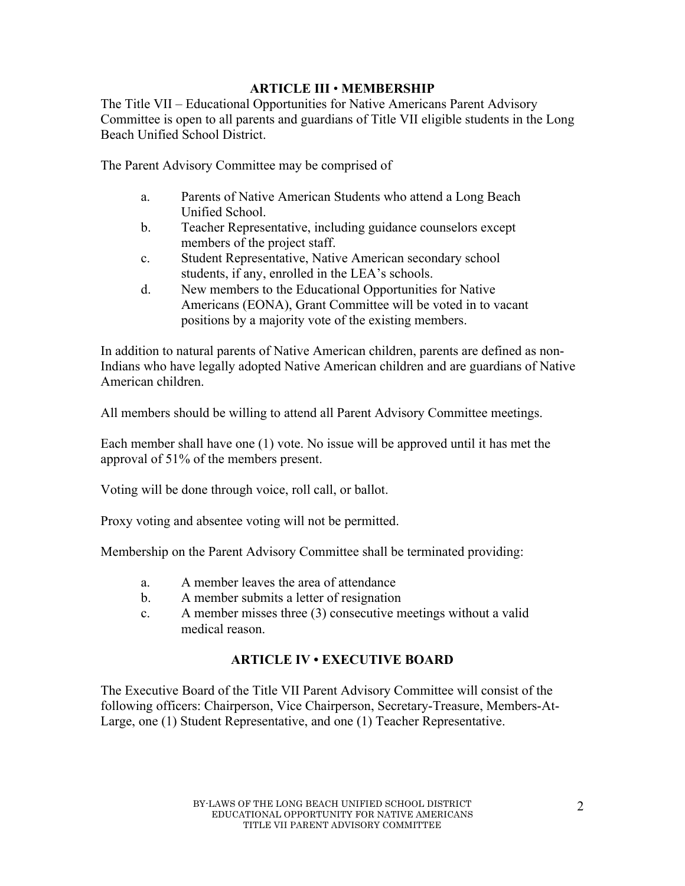## **ARTICLE III** • **MEMBERSHIP**

The Title VII – Educational Opportunities for Native Americans Parent Advisory Committee is open to all parents and guardians of Title VII eligible students in the Long Beach Unified School District.

The Parent Advisory Committee may be comprised of

- a. Parents of Native American Students who attend a Long Beach Unified School.
- b. Teacher Representative, including guidance counselors except members of the project staff.
- c. Student Representative, Native American secondary school students, if any, enrolled in the LEA's schools.
- d. New members to the Educational Opportunities for Native Americans (EONA), Grant Committee will be voted in to vacant positions by a majority vote of the existing members.

In addition to natural parents of Native American children, parents are defined as non-Indians who have legally adopted Native American children and are guardians of Native American children.

All members should be willing to attend all Parent Advisory Committee meetings.

Each member shall have one (1) vote. No issue will be approved until it has met the approval of 51% of the members present.

Voting will be done through voice, roll call, or ballot.

Proxy voting and absentee voting will not be permitted.

Membership on the Parent Advisory Committee shall be terminated providing:

- a. A member leaves the area of attendance
- b. A member submits a letter of resignation
- c. A member misses three (3) consecutive meetings without a valid medical reason.

## **ARTICLE IV • EXECUTIVE BOARD**

The Executive Board of the Title VII Parent Advisory Committee will consist of the following officers: Chairperson, Vice Chairperson, Secretary-Treasure, Members-At-Large, one (1) Student Representative, and one (1) Teacher Representative.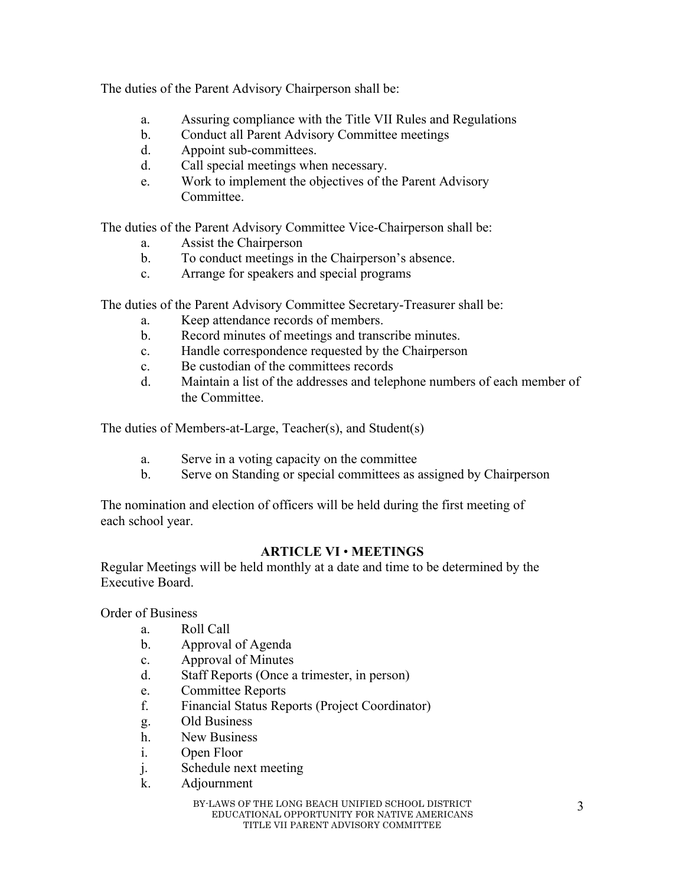The duties of the Parent Advisory Chairperson shall be:

- a. Assuring compliance with the Title VII Rules and Regulations
- b. Conduct all Parent Advisory Committee meetings
- d. Appoint sub-committees.
- d. Call special meetings when necessary.
- e. Work to implement the objectives of the Parent Advisory Committee.

The duties of the Parent Advisory Committee Vice-Chairperson shall be:

- a. Assist the Chairperson
- b. To conduct meetings in the Chairperson's absence.
- c. Arrange for speakers and special programs

The duties of the Parent Advisory Committee Secretary-Treasurer shall be:

- a. Keep attendance records of members.
- b. Record minutes of meetings and transcribe minutes.
- c. Handle correspondence requested by the Chairperson
- c. Be custodian of the committees records
- d. Maintain a list of the addresses and telephone numbers of each member of the Committee.

The duties of Members-at-Large, Teacher(s), and Student(s)

- a. Serve in a voting capacity on the committee
- b. Serve on Standing or special committees as assigned by Chairperson

The nomination and election of officers will be held during the first meeting of each school year.

# **ARTICLE VI** • **MEETINGS**

Regular Meetings will be held monthly at a date and time to be determined by the Executive Board.

Order of Business

- a. Roll Call
- b. Approval of Agenda
- c. Approval of Minutes
- d. Staff Reports (Once a trimester, in person)
- e. Committee Reports
- f. Financial Status Reports (Project Coordinator)
- g. Old Business
- h. New Business
- i. Open Floor
- j. Schedule next meeting
- k. Adjournment